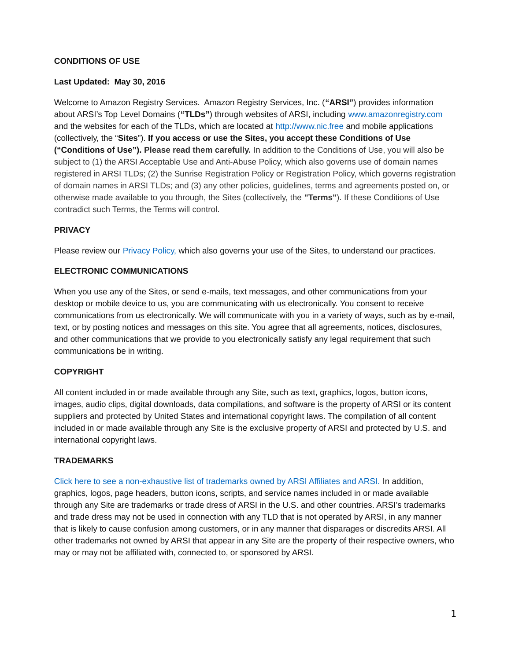### **CONDITIONS OF USE**

#### **Last Updated: May 30, 2016**

Welcome to Amazon Registry Services. Amazon Registry Services, Inc. (**"ARSI"**) provides information about ARSI's Top Level Domains (**"TLDs"**) through websites of ARSI, including [www.amazonregistry.com](http://www.amazonregistry.com/) and the websites for each of the TLDs, which are located at [http://www.nic.free](http://nic.free/) and mobile applications (collectively, the "**Sites**"). **If you access or use the Sites, you accept these Conditions of Use ("Conditions of Use"). Please read them carefully.** In addition to the Conditions of Use, you will also be subject to (1) the ARSI Acceptable Use and Anti-Abuse Policy, which also governs use of domain names registered in ARSI TLDs; (2) the Sunrise Registration Policy or Registration Policy, which governs registration of domain names in ARSI TLDs; and (3) any other policies, guidelines, terms and agreements posted on, or otherwise made available to you through, the Sites (collectively, the **"Terms"**). If these Conditions of Use contradict such Terms, the Terms will control.

#### **PRIVACY**

Please review our [Privacy Policy,](http://www.nic.free/pdf/ARSIPrivacyPolicy2015-10-27.pdf) which also governs your use of the Sites, to understand our practices.

#### **ELECTRONIC COMMUNICATIONS**

When you use any of the Sites, or send e-mails, text messages, and other communications from your desktop or mobile device to us, you are communicating with us electronically. You consent to receive communications from us electronically. We will communicate with you in a variety of ways, such as by e-mail, text, or by posting notices and messages on this site. You agree that all agreements, notices, disclosures, and other communications that we provide to you electronically satisfy any legal requirement that such communications be in writing.

#### **COPYRIGHT**

All content included in or made available through any Site, such as text, graphics, logos, button icons, images, audio clips, digital downloads, data compilations, and software is the property of ARSI or its content suppliers and protected by United States and international copyright laws. The compilation of all content included in or made available through any Site is the exclusive property of ARSI and protected by U.S. and international copyright laws.

#### **TRADEMARKS**

[Click here to see a non-exhaustive list of trademarks owned by ARSI Affiliates and ARSI.](https://www.amazon.com/gp/help/customer/display.html/?nodeId=200738910) In addition, graphics, logos, page headers, button icons, scripts, and service names included in or made available through any Site are trademarks or trade dress of ARSI in the U.S. and other countries. ARSI's trademarks and trade dress may not be used in connection with any TLD that is not operated by ARSI, in any manner that is likely to cause confusion among customers, or in any manner that disparages or discredits ARSI. All other trademarks not owned by ARSI that appear in any Site are the property of their respective owners, who may or may not be affiliated with, connected to, or sponsored by ARSI.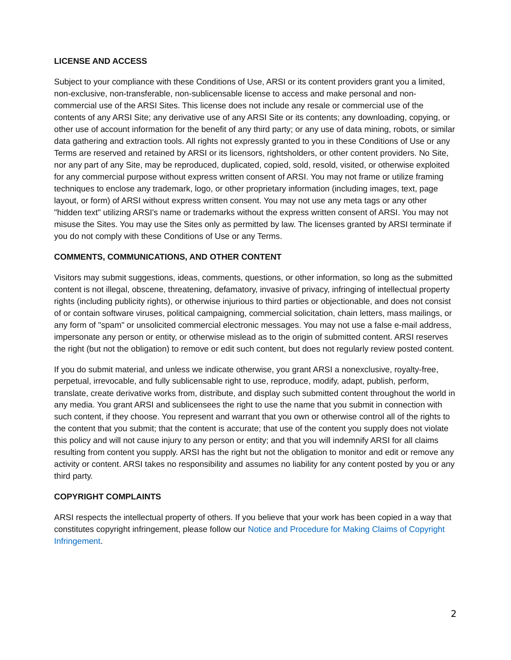### **LICENSE AND ACCESS**

Subject to your compliance with these Conditions of Use, ARSI or its content providers grant you a limited, non-exclusive, non-transferable, non-sublicensable license to access and make personal and noncommercial use of the ARSI Sites. This license does not include any resale or commercial use of the contents of any ARSI Site; any derivative use of any ARSI Site or its contents; any downloading, copying, or other use of account information for the benefit of any third party; or any use of data mining, robots, or similar data gathering and extraction tools. All rights not expressly granted to you in these Conditions of Use or any Terms are reserved and retained by ARSI or its licensors, rightsholders, or other content providers. No Site, nor any part of any Site, may be reproduced, duplicated, copied, sold, resold, visited, or otherwise exploited for any commercial purpose without express written consent of ARSI. You may not frame or utilize framing techniques to enclose any trademark, logo, or other proprietary information (including images, text, page layout, or form) of ARSI without express written consent. You may not use any meta tags or any other "hidden text" utilizing ARSI's name or trademarks without the express written consent of ARSI. You may not misuse the Sites. You may use the Sites only as permitted by law. The licenses granted by ARSI terminate if you do not comply with these Conditions of Use or any Terms.

## **COMMENTS, COMMUNICATIONS, AND OTHER CONTENT**

Visitors may submit suggestions, ideas, comments, questions, or other information, so long as the submitted content is not illegal, obscene, threatening, defamatory, invasive of privacy, infringing of intellectual property rights (including publicity rights), or otherwise injurious to third parties or objectionable, and does not consist of or contain software viruses, political campaigning, commercial solicitation, chain letters, mass mailings, or any form of "spam" or unsolicited commercial electronic messages. You may not use a false e-mail address, impersonate any person or entity, or otherwise mislead as to the origin of submitted content. ARSI reserves the right (but not the obligation) to remove or edit such content, but does not regularly review posted content.

If you do submit material, and unless we indicate otherwise, you grant ARSI a nonexclusive, royalty-free, perpetual, irrevocable, and fully sublicensable right to use, reproduce, modify, adapt, publish, perform, translate, create derivative works from, distribute, and display such submitted content throughout the world in any media. You grant ARSI and sublicensees the right to use the name that you submit in connection with such content, if they choose. You represent and warrant that you own or otherwise control all of the rights to the content that you submit; that the content is accurate; that use of the content you supply does not violate this policy and will not cause injury to any person or entity; and that you will indemnify ARSI for all claims resulting from content you supply. ARSI has the right but not the obligation to monitor and edit or remove any activity or content. ARSI takes no responsibility and assumes no liability for any content posted by you or any third party.

## **COPYRIGHT COMPLAINTS**

ARSI respects the intellectual property of others. If you believe that your work has been copied in a way that constitutes copyright infringement, please follow our [Notice and Procedure for Making Claims of Copyright](http://www.amazon.com/gp/help/customer/display.html/ref=footer_cou?ie=UTF8&nodeId=508088#GUID-45366177-ACDC-4474-9D20-9B8E71933D9C__SECTION_61204EC3A0D64C09820BE2BC332A4AFA)  [Infringement.](http://www.amazon.com/gp/help/customer/display.html/ref=footer_cou?ie=UTF8&nodeId=508088#GUID-45366177-ACDC-4474-9D20-9B8E71933D9C__SECTION_61204EC3A0D64C09820BE2BC332A4AFA)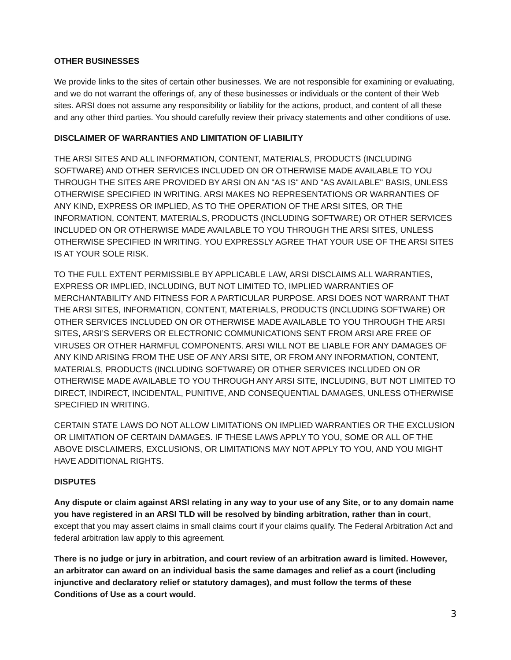## **OTHER BUSINESSES**

We provide links to the sites of certain other businesses. We are not responsible for examining or evaluating, and we do not warrant the offerings of, any of these businesses or individuals or the content of their Web sites. ARSI does not assume any responsibility or liability for the actions, product, and content of all these and any other third parties. You should carefully review their privacy statements and other conditions of use.

## **DISCLAIMER OF WARRANTIES AND LIMITATION OF LIABILITY**

THE ARSI SITES AND ALL INFORMATION, CONTENT, MATERIALS, PRODUCTS (INCLUDING SOFTWARE) AND OTHER SERVICES INCLUDED ON OR OTHERWISE MADE AVAILABLE TO YOU THROUGH THE SITES ARE PROVIDED BY ARSI ON AN "AS IS" AND "AS AVAILABLE" BASIS, UNLESS OTHERWISE SPECIFIED IN WRITING. ARSI MAKES NO REPRESENTATIONS OR WARRANTIES OF ANY KIND, EXPRESS OR IMPLIED, AS TO THE OPERATION OF THE ARSI SITES, OR THE INFORMATION, CONTENT, MATERIALS, PRODUCTS (INCLUDING SOFTWARE) OR OTHER SERVICES INCLUDED ON OR OTHERWISE MADE AVAILABLE TO YOU THROUGH THE ARSI SITES, UNLESS OTHERWISE SPECIFIED IN WRITING. YOU EXPRESSLY AGREE THAT YOUR USE OF THE ARSI SITES IS AT YOUR SOLE RISK.

TO THE FULL EXTENT PERMISSIBLE BY APPLICABLE LAW, ARSI DISCLAIMS ALL WARRANTIES, EXPRESS OR IMPLIED, INCLUDING, BUT NOT LIMITED TO, IMPLIED WARRANTIES OF MERCHANTABILITY AND FITNESS FOR A PARTICULAR PURPOSE. ARSI DOES NOT WARRANT THAT THE ARSI SITES, INFORMATION, CONTENT, MATERIALS, PRODUCTS (INCLUDING SOFTWARE) OR OTHER SERVICES INCLUDED ON OR OTHERWISE MADE AVAILABLE TO YOU THROUGH THE ARSI SITES, ARSI'S SERVERS OR ELECTRONIC COMMUNICATIONS SENT FROM ARSI ARE FREE OF VIRUSES OR OTHER HARMFUL COMPONENTS. ARSI WILL NOT BE LIABLE FOR ANY DAMAGES OF ANY KIND ARISING FROM THE USE OF ANY ARSI SITE, OR FROM ANY INFORMATION, CONTENT, MATERIALS, PRODUCTS (INCLUDING SOFTWARE) OR OTHER SERVICES INCLUDED ON OR OTHERWISE MADE AVAILABLE TO YOU THROUGH ANY ARSI SITE, INCLUDING, BUT NOT LIMITED TO DIRECT, INDIRECT, INCIDENTAL, PUNITIVE, AND CONSEQUENTIAL DAMAGES, UNLESS OTHERWISE SPECIFIED IN WRITING.

CERTAIN STATE LAWS DO NOT ALLOW LIMITATIONS ON IMPLIED WARRANTIES OR THE EXCLUSION OR LIMITATION OF CERTAIN DAMAGES. IF THESE LAWS APPLY TO YOU, SOME OR ALL OF THE ABOVE DISCLAIMERS, EXCLUSIONS, OR LIMITATIONS MAY NOT APPLY TO YOU, AND YOU MIGHT HAVE ADDITIONAL RIGHTS.

# **DISPUTES**

**Any dispute or claim against ARSI relating in any way to your use of any Site, or to any domain name you have registered in an ARSI TLD will be resolved by binding arbitration, rather than in court**, except that you may assert claims in small claims court if your claims qualify. The Federal Arbitration Act and federal arbitration law apply to this agreement.

**There is no judge or jury in arbitration, and court review of an arbitration award is limited. However, an arbitrator can award on an individual basis the same damages and relief as a court (including injunctive and declaratory relief or statutory damages), and must follow the terms of these Conditions of Use as a court would.**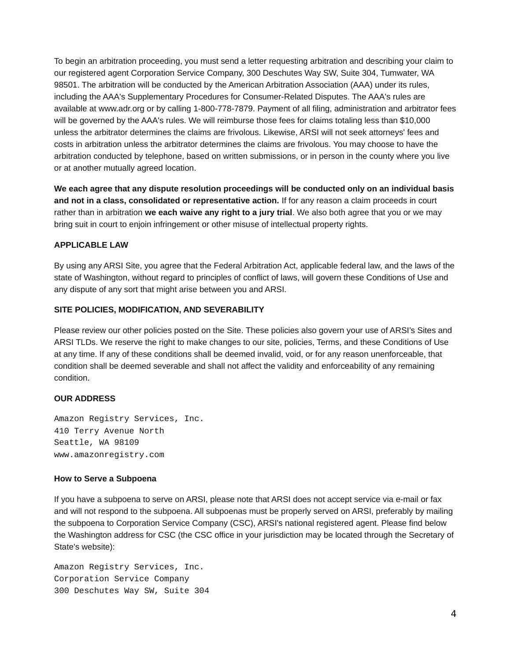To begin an arbitration proceeding, you must send a letter requesting arbitration and describing your claim to our registered agent Corporation Service Company, 300 Deschutes Way SW, Suite 304, Tumwater, WA 98501. The arbitration will be conducted by the American Arbitration Association (AAA) under its rules, including the AAA's Supplementary Procedures for Consumer-Related Disputes. The AAA's rules are available at www.adr.org or by calling 1-800-778-7879. Payment of all filing, administration and arbitrator fees will be governed by the AAA's rules. We will reimburse those fees for claims totaling less than \$10,000 unless the arbitrator determines the claims are frivolous. Likewise, ARSI will not seek attorneys' fees and costs in arbitration unless the arbitrator determines the claims are frivolous. You may choose to have the arbitration conducted by telephone, based on written submissions, or in person in the county where you live or at another mutually agreed location.

**We each agree that any dispute resolution proceedings will be conducted only on an individual basis and not in a class, consolidated or representative action.** If for any reason a claim proceeds in court rather than in arbitration **we each waive any right to a jury trial**. We also both agree that you or we may bring suit in court to enjoin infringement or other misuse of intellectual property rights.

## **APPLICABLE LAW**

By using any ARSI Site, you agree that the Federal Arbitration Act, applicable federal law, and the laws of the state of Washington, without regard to principles of conflict of laws, will govern these Conditions of Use and any dispute of any sort that might arise between you and ARSI.

#### **SITE POLICIES, MODIFICATION, AND SEVERABILITY**

Please review our other policies posted on the Site. These policies also govern your use of ARSI's Sites and ARSI TLDs. We reserve the right to make changes to our site, policies, Terms, and these Conditions of Use at any time. If any of these conditions shall be deemed invalid, void, or for any reason unenforceable, that condition shall be deemed severable and shall not affect the validity and enforceability of any remaining condition.

## **OUR ADDRESS**

Amazon Registry Services, Inc. 410 Terry Avenue North Seattle, WA 98109 www.amazonregistry.com

#### **How to Serve a Subpoena**

If you have a subpoena to serve on ARSI, please note that ARSI does not accept service via e-mail or fax and will not respond to the subpoena. All subpoenas must be properly served on ARSI, preferably by mailing the subpoena to Corporation Service Company (CSC), ARSI's national registered agent. Please find below the Washington address for CSC (the CSC office in your jurisdiction may be located through the Secretary of State's website):

Amazon Registry Services, Inc. Corporation Service Company 300 Deschutes Way SW, Suite 304